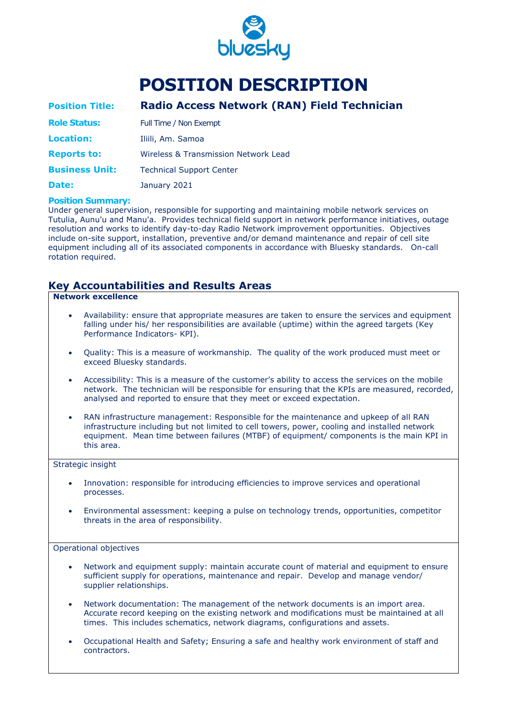

# **POSITION DESCRIPTION**

| <b>Position Title:</b> | Radio Access Network (RAN) Field Technician     |
|------------------------|-------------------------------------------------|
| <b>Role Status:</b>    | Full Time / Non Exempt                          |
| <b>Location:</b>       | Iliili, Am. Samoa                               |
| <b>Reports to:</b>     | <b>Wireless &amp; Transmission Network Lead</b> |
| <b>Business Unit:</b>  | <b>Technical Support Center</b>                 |
| Date:                  | January 2021                                    |

#### **Position Summary:**

Under general supervision, responsible for supporting and maintaining mobile network services on Tutulia, Aunu'u and Manu'a. Provides technical field support in network performance initiatives, outage resolution and works to identify day-to-day Radio Network improvement opportunities. Objectives include on-site support, installation, preventive and/or demand maintenance and repair of cell site equipment including all of its associated components in accordance with Bluesky standards. On-call rotation required.

### **Key Accountabilities and Results Areas**

#### **Network excellence**

- Availability: ensure that appropriate measures are taken to ensure the services and equipment falling under his/ her responsibilities are available (uptime) within the agreed targets (Key Performance Indicators- KPI).
- Quality: This is a measure of workmanship. The quality of the work produced must meet or exceed Bluesky standards.
- Accessibility: This is a measure of the customer's ability to access the services on the mobile network. The technician will be responsible for ensuring that the KPIs are measured, recorded, analysed and reported to ensure that they meet or exceed expectation.
- RAN infrastructure management: Responsible for the maintenance and upkeep of all RAN infrastructure including but not limited to cell towers, power, cooling and installed network equipment. Mean time between failures (MTBF) of equipment/ components is the main KPI in this area.

#### Strategic insight

- Innovation: responsible for introducing efficiencies to improve services and operational processes.
- Environmental assessment: keeping a pulse on technology trends, opportunities, competitor threats in the area of responsibility.

#### Operational objectives

- Network and equipment supply: maintain accurate count of material and equipment to ensure sufficient supply for operations, maintenance and repair. Develop and manage vendor/ supplier relationships.
- Network documentation: The management of the network documents is an import area. Accurate record keeping on the existing network and modifications must be maintained at all times. This includes schematics, network diagrams, configurations and assets.
- Occupational Health and Safety; Ensuring a safe and healthy work environment of staff and contractors.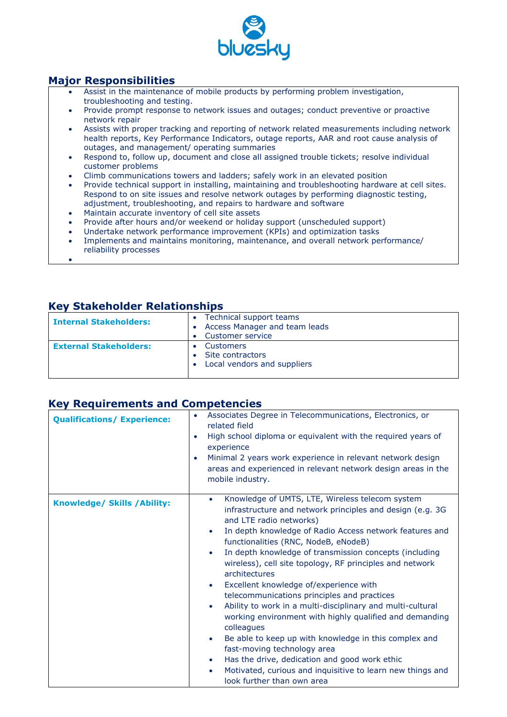

### **Major Responsibilities**

- Assist in the maintenance of mobile products by performing problem investigation, troubleshooting and testing.
- Provide prompt response to network issues and outages; conduct preventive or proactive network repair
- Assists with proper tracking and reporting of network related measurements including network health reports, Key Performance Indicators, outage reports, AAR and root cause analysis of outages, and management/ operating summaries
- Respond to, follow up, document and close all assigned trouble tickets; resolve individual customer problems
- Climb communications towers and ladders; safely work in an elevated position
- Provide technical support in installing, maintaining and troubleshooting hardware at cell sites. Respond to on site issues and resolve network outages by performing diagnostic testing, adjustment, troubleshooting, and repairs to hardware and software
- Maintain accurate inventory of cell site assets
- Provide after hours and/or weekend or holiday support (unscheduled support)
- Undertake network performance improvement (KPIs) and optimization tasks
- Implements and maintains monitoring, maintenance, and overall network performance/ reliability processes

### **Key Stakeholder Relationships**

•

| <b>Internal Stakeholders:</b> | Technical support teams<br>Access Manager and team leads<br>Customer service |
|-------------------------------|------------------------------------------------------------------------------|
| <b>External Stakeholders:</b> | <b>Customers</b><br>Site contractors<br>Local vendors and suppliers          |

#### **Key Requirements and Competencies**

| <b>Qualifications/ Experience:</b>  | Associates Degree in Telecommunications, Electronics, or<br>related field<br>High school diploma or equivalent with the required years of<br>experience<br>Minimal 2 years work experience in relevant network design<br>areas and experienced in relevant network design areas in the<br>mobile industry.                                                                                                                                                                                                                                                                                                                                                                                                                                                                                                                                                                                                                                                     |  |  |
|-------------------------------------|----------------------------------------------------------------------------------------------------------------------------------------------------------------------------------------------------------------------------------------------------------------------------------------------------------------------------------------------------------------------------------------------------------------------------------------------------------------------------------------------------------------------------------------------------------------------------------------------------------------------------------------------------------------------------------------------------------------------------------------------------------------------------------------------------------------------------------------------------------------------------------------------------------------------------------------------------------------|--|--|
| <b>Knowledge/ Skills / Ability:</b> | Knowledge of UMTS, LTE, Wireless telecom system<br>$\bullet$<br>infrastructure and network principles and design (e.g. 3G<br>and LTE radio networks)<br>In depth knowledge of Radio Access network features and<br>$\bullet$<br>functionalities (RNC, NodeB, eNodeB)<br>In depth knowledge of transmission concepts (including<br>$\bullet$<br>wireless), cell site topology, RF principles and network<br>architectures<br>Excellent knowledge of/experience with<br>$\bullet$<br>telecommunications principles and practices<br>Ability to work in a multi-disciplinary and multi-cultural<br>$\bullet$<br>working environment with highly qualified and demanding<br>colleagues<br>Be able to keep up with knowledge in this complex and<br>$\bullet$<br>fast-moving technology area<br>Has the drive, dedication and good work ethic<br>$\bullet$<br>Motivated, curious and inquisitive to learn new things and<br>$\bullet$<br>look further than own area |  |  |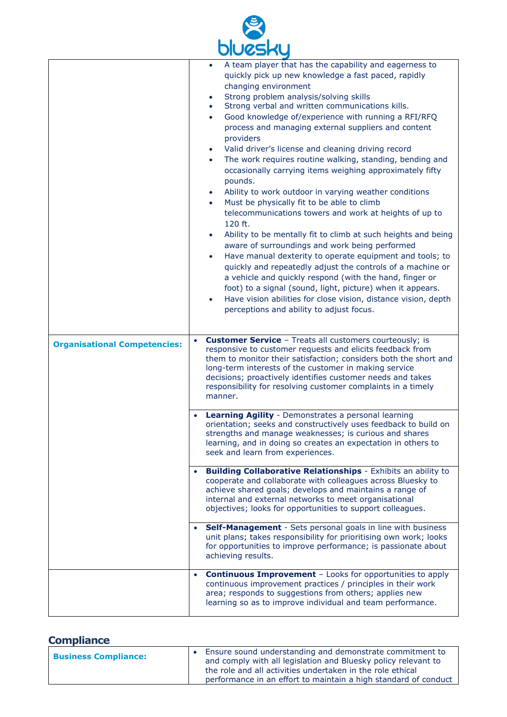

|                                     | A team player that has the capability and eagerness to<br>$\bullet$                                                                                                                                                                                                                                                                                                                               |  |  |  |
|-------------------------------------|---------------------------------------------------------------------------------------------------------------------------------------------------------------------------------------------------------------------------------------------------------------------------------------------------------------------------------------------------------------------------------------------------|--|--|--|
|                                     | quickly pick up new knowledge a fast paced, rapidly                                                                                                                                                                                                                                                                                                                                               |  |  |  |
|                                     | changing environment                                                                                                                                                                                                                                                                                                                                                                              |  |  |  |
|                                     | Strong problem analysis/solving skills                                                                                                                                                                                                                                                                                                                                                            |  |  |  |
|                                     | Strong verbal and written communications kills.                                                                                                                                                                                                                                                                                                                                                   |  |  |  |
|                                     | Good knowledge of/experience with running a RFI/RFQ<br>$\bullet$                                                                                                                                                                                                                                                                                                                                  |  |  |  |
|                                     | process and managing external suppliers and content                                                                                                                                                                                                                                                                                                                                               |  |  |  |
|                                     | providers                                                                                                                                                                                                                                                                                                                                                                                         |  |  |  |
|                                     | Valid driver's license and cleaning driving record<br>$\bullet$                                                                                                                                                                                                                                                                                                                                   |  |  |  |
|                                     | The work requires routine walking, standing, bending and<br>$\bullet$                                                                                                                                                                                                                                                                                                                             |  |  |  |
|                                     | occasionally carrying items weighing approximately fifty                                                                                                                                                                                                                                                                                                                                          |  |  |  |
|                                     | pounds.                                                                                                                                                                                                                                                                                                                                                                                           |  |  |  |
|                                     | Ability to work outdoor in varying weather conditions<br>$\bullet$                                                                                                                                                                                                                                                                                                                                |  |  |  |
|                                     | Must be physically fit to be able to climb<br>$\bullet$                                                                                                                                                                                                                                                                                                                                           |  |  |  |
|                                     | telecommunications towers and work at heights of up to<br>120 ft.                                                                                                                                                                                                                                                                                                                                 |  |  |  |
|                                     | Ability to be mentally fit to climb at such heights and being<br>$\bullet$                                                                                                                                                                                                                                                                                                                        |  |  |  |
|                                     | aware of surroundings and work being performed<br>Have manual dexterity to operate equipment and tools; to<br>$\bullet$                                                                                                                                                                                                                                                                           |  |  |  |
|                                     |                                                                                                                                                                                                                                                                                                                                                                                                   |  |  |  |
|                                     | quickly and repeatedly adjust the controls of a machine or                                                                                                                                                                                                                                                                                                                                        |  |  |  |
|                                     | a vehicle and quickly respond (with the hand, finger or                                                                                                                                                                                                                                                                                                                                           |  |  |  |
|                                     | foot) to a signal (sound, light, picture) when it appears.                                                                                                                                                                                                                                                                                                                                        |  |  |  |
|                                     | Have vision abilities for close vision, distance vision, depth<br>$\bullet$                                                                                                                                                                                                                                                                                                                       |  |  |  |
|                                     | perceptions and ability to adjust focus.                                                                                                                                                                                                                                                                                                                                                          |  |  |  |
|                                     |                                                                                                                                                                                                                                                                                                                                                                                                   |  |  |  |
|                                     |                                                                                                                                                                                                                                                                                                                                                                                                   |  |  |  |
|                                     |                                                                                                                                                                                                                                                                                                                                                                                                   |  |  |  |
| <b>Organisational Competencies:</b> | <b>Customer Service</b> - Treats all customers courteously; is<br>responsive to customer requests and elicits feedback from<br>them to monitor their satisfaction; considers both the short and<br>long-term interests of the customer in making service<br>decisions; proactively identifies customer needs and takes<br>responsibility for resolving customer complaints in a timely<br>manner. |  |  |  |
|                                     |                                                                                                                                                                                                                                                                                                                                                                                                   |  |  |  |
|                                     | Learning Agility - Demonstrates a personal learning<br>orientation; seeks and constructively uses feedback to build on<br>strengths and manage weaknesses; is curious and shares<br>learning, and in doing so creates an expectation in others to<br>seek and learn from experiences.                                                                                                             |  |  |  |
|                                     | <b>Building Collaborative Relationships</b> - Exhibits an ability to                                                                                                                                                                                                                                                                                                                              |  |  |  |
|                                     | cooperate and collaborate with colleagues across Bluesky to                                                                                                                                                                                                                                                                                                                                       |  |  |  |
|                                     | achieve shared goals; develops and maintains a range of                                                                                                                                                                                                                                                                                                                                           |  |  |  |
|                                     | internal and external networks to meet organisational                                                                                                                                                                                                                                                                                                                                             |  |  |  |
|                                     | objectives; looks for opportunities to support colleagues.                                                                                                                                                                                                                                                                                                                                        |  |  |  |
|                                     | Self-Management - Sets personal goals in line with business                                                                                                                                                                                                                                                                                                                                       |  |  |  |
|                                     | unit plans; takes responsibility for prioritising own work; looks<br>for opportunities to improve performance; is passionate about<br>achieving results.                                                                                                                                                                                                                                          |  |  |  |
|                                     |                                                                                                                                                                                                                                                                                                                                                                                                   |  |  |  |
|                                     | <b>Continuous Improvement - Looks for opportunities to apply</b><br>continuous improvement practices / principles in their work<br>area; responds to suggestions from others; applies new<br>learning so as to improve individual and team performance.                                                                                                                                           |  |  |  |

### **Compliance**

| <b>Business Compliance:</b> | Ensure sound understanding and demonstrate commitment to<br>and comply with all legislation and Bluesky policy relevant to<br>the role and all activities undertaken in the role ethical<br>performance in an effort to maintain a high standard of conduct |
|-----------------------------|-------------------------------------------------------------------------------------------------------------------------------------------------------------------------------------------------------------------------------------------------------------|
|-----------------------------|-------------------------------------------------------------------------------------------------------------------------------------------------------------------------------------------------------------------------------------------------------------|